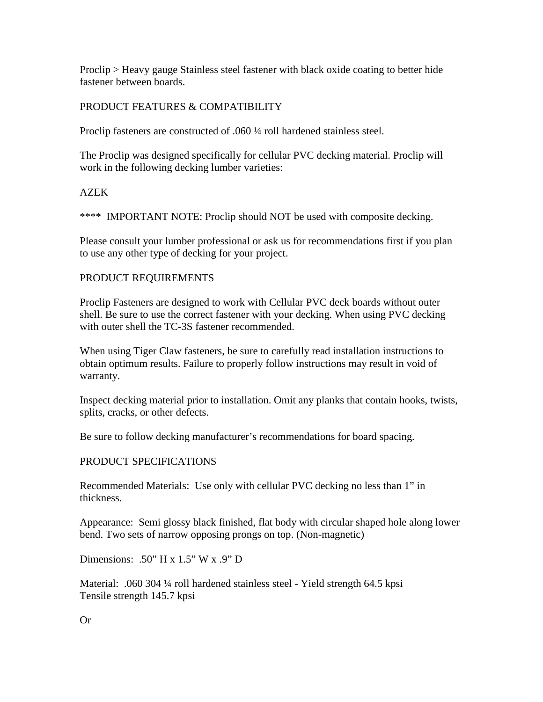Proclip > Heavy gauge Stainless steel fastener with black oxide coating to better hide fastener between boards.

# PRODUCT FEATURES & COMPATIBILITY

Proclip fasteners are constructed of .060 ¼ roll hardened stainless steel.

The Proclip was designed specifically for cellular PVC decking material. Proclip will work in the following decking lumber varieties:

## AZEK

\*\*\*\* IMPORTANT NOTE: Proclip should NOT be used with composite decking.

Please consult your lumber professional or ask us for recommendations first if you plan to use any other type of decking for your project.

## PRODUCT REQUIREMENTS

Proclip Fasteners are designed to work with Cellular PVC deck boards without outer shell. Be sure to use the correct fastener with your decking. When using PVC decking with outer shell the TC-3S fastener recommended.

When using Tiger Claw fasteners, be sure to carefully read installation instructions to obtain optimum results. Failure to properly follow instructions may result in void of warranty.

Inspect decking material prior to installation. Omit any planks that contain hooks, twists, splits, cracks, or other defects.

Be sure to follow decking manufacturer's recommendations for board spacing.

# PRODUCT SPECIFICATIONS

Recommended Materials: Use only with cellular PVC decking no less than 1" in thickness.

Appearance: Semi glossy black finished, flat body with circular shaped hole along lower bend. Two sets of narrow opposing prongs on top. (Non-magnetic)

Dimensions: .50" H x  $1.5$ " W x .9" D

Material: .060 304 ¼ roll hardened stainless steel - Yield strength 64.5 kpsi Tensile strength 145.7 kpsi

Or